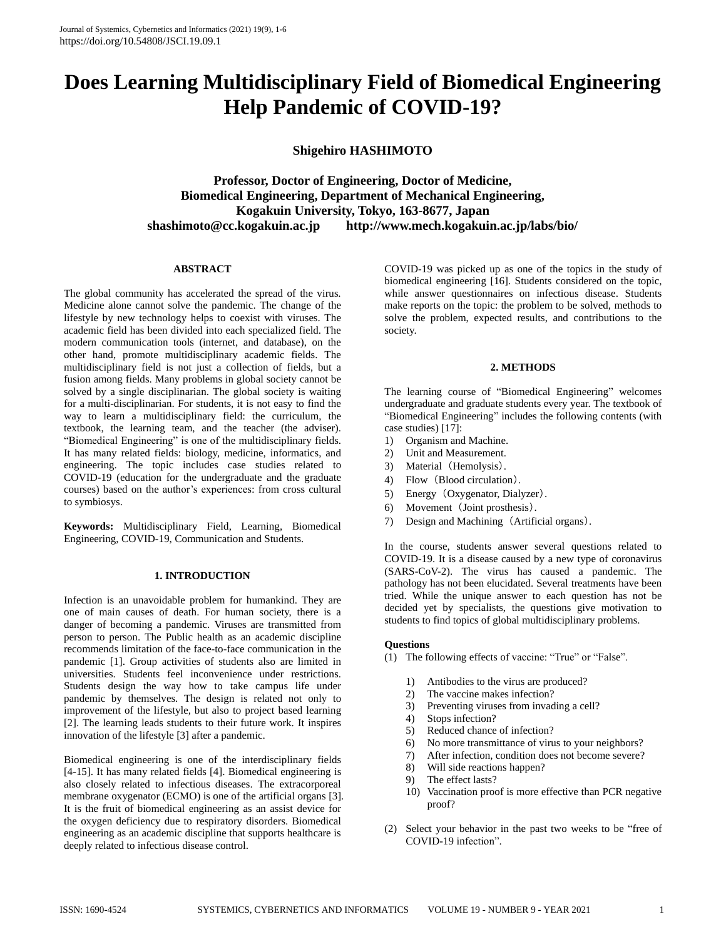# **Does Learning Multidisciplinary Field of Biomedical Engineering Help Pandemic of COVID-19?**

**Shigehiro HASHIMOTO**

**Professor, Doctor of Engineering, Doctor of Medicine, Biomedical Engineering, Department of Mechanical Engineering, Kogakuin University, Tokyo, 163-8677, Japan shashimoto@cc.kogakuin.ac.jp http://www.mech.kogakuin.ac.jp/labs/bio/**

## **ABSTRACT**

The global community has accelerated the spread of the virus. Medicine alone cannot solve the pandemic. The change of the lifestyle by new technology helps to coexist with viruses. The academic field has been divided into each specialized field. The modern communication tools (internet, and database), on the other hand, promote multidisciplinary academic fields. The multidisciplinary field is not just a collection of fields, but a fusion among fields. Many problems in global society cannot be solved by a single disciplinarian. The global society is waiting for a multi-disciplinarian. For students, it is not easy to find the way to learn a multidisciplinary field: the curriculum, the textbook, the learning team, and the teacher (the adviser). "Biomedical Engineering" is one of the multidisciplinary fields. It has many related fields: biology, medicine, informatics, and engineering. The topic includes case studies related to COVID-19 (education for the undergraduate and the graduate courses) based on the author's experiences: from cross cultural to symbiosys.

**Keywords:** Multidisciplinary Field, Learning, Biomedical Engineering, COVID-19, Communication and Students.

## **1. INTRODUCTION**

Infection is an unavoidable problem for humankind. They are one of main causes of death. For human society, there is a danger of becoming a pandemic. Viruses are transmitted from person to person. The Public health as an academic discipline recommends limitation of the face-to-face communication in the pandemic [1]. Group activities of students also are limited in universities. Students feel inconvenience under restrictions. Students design the way how to take campus life under pandemic by themselves. The design is related not only to improvement of the lifestyle, but also to project based learning [2]. The learning leads students to their future work. It inspires innovation of the lifestyle [3] after a pandemic.

Biomedical engineering is one of the interdisciplinary fields [4-15]. It has many related fields [4]. Biomedical engineering is also closely related to infectious diseases. The extracorporeal membrane oxygenator (ECMO) is one of the artificial organs [3]. It is the fruit of biomedical engineering as an assist device for the oxygen deficiency due to respiratory disorders. Biomedical engineering as an academic discipline that supports healthcare is deeply related to infectious disease control.

COVID-19 was picked up as one of the topics in the study of biomedical engineering [16]. Students considered on the topic, while answer questionnaires on infectious disease. Students make reports on the topic: the problem to be solved, methods to solve the problem, expected results, and contributions to the society.

## **2. METHODS**

The learning course of "Biomedical Engineering" welcomes undergraduate and graduate students every year. The textbook of "Biomedical Engineering" includes the following contents (with case studies) [17]:

- 1) Organism and Machine.
- 2) Unit and Measurement.
- 3) Material (Hemolysis).
- 4) Flow (Blood circulation).
- 5) Energy (Oxygenator, Dialyzer).
- 6) Movement (Joint prosthesis).
- 7) Design and Machining (Artificial organs).

In the course, students answer several questions related to COVID-19. It is a disease caused by a new type of coronavirus (SARS-CoV-2). The virus has caused a pandemic. The pathology has not been elucidated. Several treatments have been tried. While the unique answer to each question has not be decided yet by specialists, the questions give motivation to students to find topics of global multidisciplinary problems.

## **Questions**

- (1) The following effects of vaccine: "True" or "False".
	- 1) Antibodies to the virus are produced?
	- 2) The vaccine makes infection?
	- 3) Preventing viruses from invading a cell?
	- 4) Stops infection?
	- 5) Reduced chance of infection?
	- 6) No more transmittance of virus to your neighbors?
	- 7) After infection, condition does not become severe?
	- 8) Will side reactions happen?
	- 9) The effect lasts?
	- 10) Vaccination proof is more effective than PCR negative proof?
- (2) Select your behavior in the past two weeks to be "free of COVID-19 infection".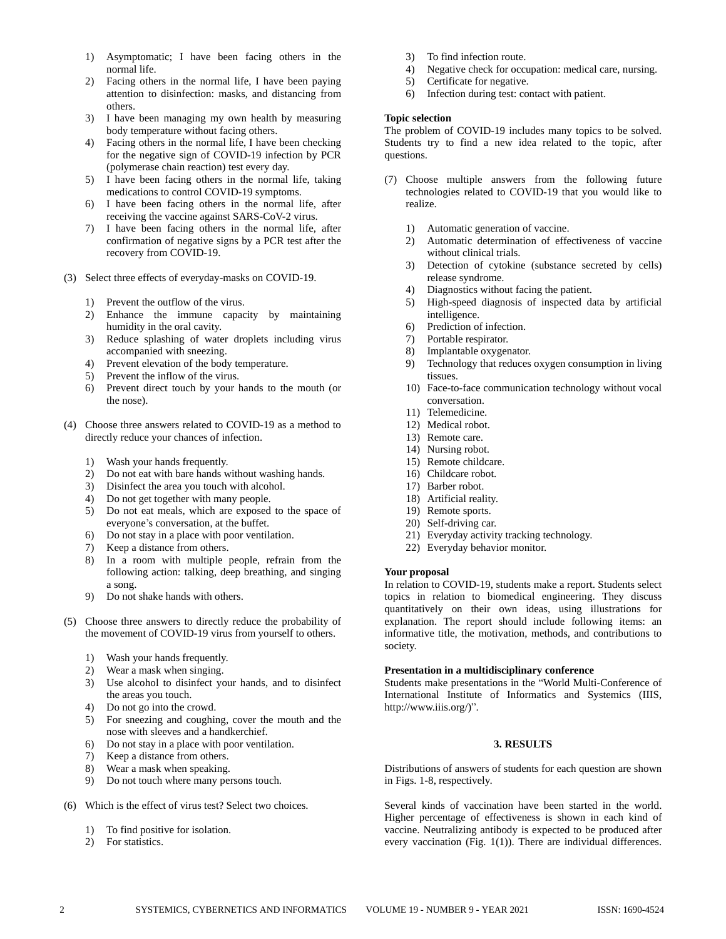- 1) Asymptomatic; I have been facing others in the normal life.
- 2) Facing others in the normal life, I have been paying attention to disinfection: masks, and distancing from others.
- 3) I have been managing my own health by measuring body temperature without facing others.
- 4) Facing others in the normal life, I have been checking for the negative sign of COVID-19 infection by PCR (polymerase chain reaction) test every day.
- 5) I have been facing others in the normal life, taking medications to control COVID-19 symptoms.
- 6) I have been facing others in the normal life, after receiving the vaccine against SARS-CoV-2 virus.
- 7) I have been facing others in the normal life, after confirmation of negative signs by a PCR test after the recovery from COVID-19.
- (3) Select three effects of everyday-masks on COVID-19.
	- 1) Prevent the outflow of the virus.
	- 2) Enhance the immune capacity by maintaining humidity in the oral cavity.
	- 3) Reduce splashing of water droplets including virus accompanied with sneezing.
	- 4) Prevent elevation of the body temperature.
	- 5) Prevent the inflow of the virus.
	- 6) Prevent direct touch by your hands to the mouth (or the nose).
- (4) Choose three answers related to COVID-19 as a method to directly reduce your chances of infection.
	- 1) Wash your hands frequently.
	- 2) Do not eat with bare hands without washing hands.
	- 3) Disinfect the area you touch with alcohol.
	- 4) Do not get together with many people.
	- 5) Do not eat meals, which are exposed to the space of everyone's conversation, at the buffet.
	- 6) Do not stay in a place with poor ventilation.
	- 7) Keep a distance from others.
	- 8) In a room with multiple people, refrain from the following action: talking, deep breathing, and singing a song.
	- 9) Do not shake hands with others.
- (5) Choose three answers to directly reduce the probability of the movement of COVID-19 virus from yourself to others.
	- 1) Wash your hands frequently.
	- 2) Wear a mask when singing.
	- 3) Use alcohol to disinfect your hands, and to disinfect the areas you touch.
	- 4) Do not go into the crowd.
	- 5) For sneezing and coughing, cover the mouth and the nose with sleeves and a handkerchief.
	- 6) Do not stay in a place with poor ventilation.
	- 7) Keep a distance from others.
	- 8) Wear a mask when speaking.
	- 9) Do not touch where many persons touch.
- (6) Which is the effect of virus test? Select two choices.
	- 1) To find positive for isolation.
	- 2) For statistics.
- 3) To find infection route.
- 4) Negative check for occupation: medical care, nursing.
- 5) Certificate for negative.<br>6) Infection during test: com
- Infection during test: contact with patient.

# **Topic selection**

The problem of COVID-19 includes many topics to be solved. Students try to find a new idea related to the topic, after questions.

- (7) Choose multiple answers from the following future technologies related to COVID-19 that you would like to realize.
	- 1) Automatic generation of vaccine.
	- 2) Automatic determination of effectiveness of vaccine without clinical trials.
	- 3) Detection of cytokine (substance secreted by cells) release syndrome.
	- 4) Diagnostics without facing the patient.<br>5) High-speed diagnosis of inspected da
	- High-speed diagnosis of inspected data by artificial intelligence.
	- 6) Prediction of infection.
	- 7) Portable respirator.
	- 8) Implantable oxygenator.
	- 9) Technology that reduces oxygen consumption in living tissues.
	- 10) Face-to-face communication technology without vocal conversation.
	- 11) Telemedicine.
	- 12) Medical robot.
	- 13) Remote care.
	- 14) Nursing robot.
	- 15) Remote childcare.
	- 16) Childcare robot.
	- 17) Barber robot.
	- 18) Artificial reality.
	- 19) Remote sports.
	- 20) Self-driving car.
	- 21) Everyday activity tracking technology.
	- 22) Everyday behavior monitor.

# **Your proposal**

In relation to COVID-19, students make a report. Students select topics in relation to biomedical engineering. They discuss quantitatively on their own ideas, using illustrations for explanation. The report should include following items: an informative title, the motivation, methods, and contributions to society.

# **Presentation in a multidisciplinary conference**

Students make presentations in the "World Multi-Conference of International Institute of Informatics and Systemics (IIIS, http://www.iiis.org/)".

## **3. RESULTS**

Distributions of answers of students for each question are shown in Figs. 1-8, respectively.

Several kinds of vaccination have been started in the world. Higher percentage of effectiveness is shown in each kind of vaccine. Neutralizing antibody is expected to be produced after every vaccination (Fig. 1(1)). There are individual differences.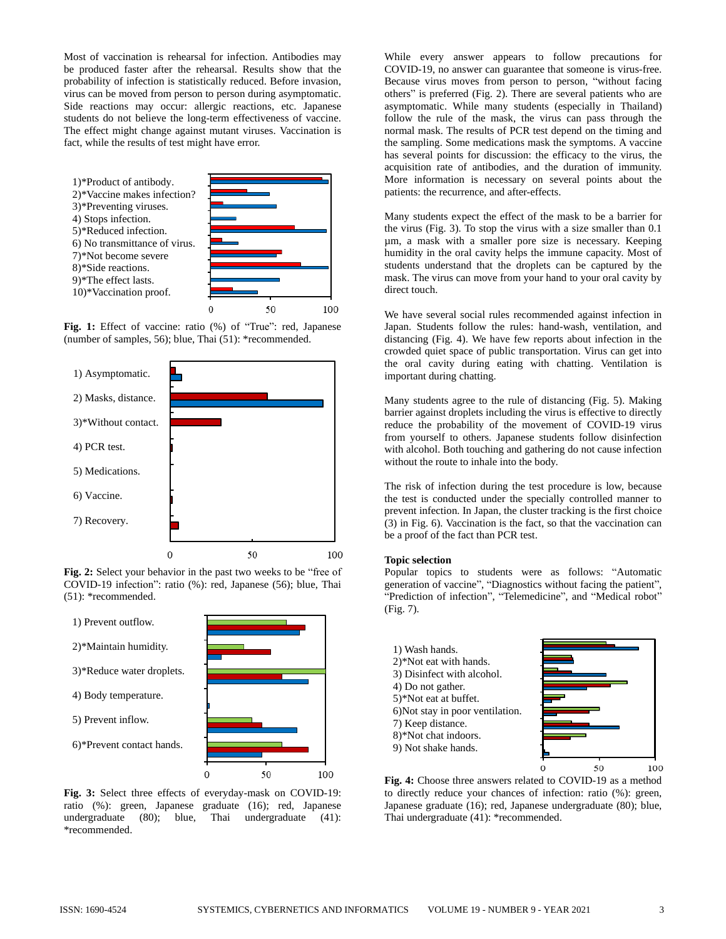Most of vaccination is rehearsal for infection. Antibodies may be produced faster after the rehearsal. Results show that the probability of infection is statistically reduced. Before invasion, virus can be moved from person to person during asymptomatic. Side reactions may occur: allergic reactions, etc. Japanese students do not believe the long-term effectiveness of vaccine. The effect might change against mutant viruses. Vaccination is fact, while the results of test might have error.



**Fig. 1:** Effect of vaccine: ratio (%) of "True": red, Japanese (number of samples, 56); blue, Thai (51): \*recommended.

100



**Fig. 2:** Select your behavior in the past two weeks to be "free of COVID-19 infection": ratio (%): red, Japanese (56); blue, Thai (51): \*recommended.



**Fig. 3:** Select three effects of everyday-mask on COVID-19: ratio (%): green, Japanese graduate (16); red, Japanese undergraduate (80); blue, Thai undergraduate (41): \*recommended.

While every answer appears to follow precautions for COVID-19, no answer can guarantee that someone is virus-free. Because virus moves from person to person, "without facing others" is preferred (Fig. 2). There are several patients who are asymptomatic. While many students (especially in Thailand) follow the rule of the mask, the virus can pass through the normal mask. The results of PCR test depend on the timing and the sampling. Some medications mask the symptoms. A vaccine has several points for discussion: the efficacy to the virus, the acquisition rate of antibodies, and the duration of immunity. More information is necessary on several points about the patients: the recurrence, and after-effects.

Many students expect the effect of the mask to be a barrier for the virus (Fig. 3). To stop the virus with a size smaller than 0.1 µm, a mask with a smaller pore size is necessary. Keeping humidity in the oral cavity helps the immune capacity. Most of students understand that the droplets can be captured by the mask. The virus can move from your hand to your oral cavity by direct touch.

We have several social rules recommended against infection in Japan. Students follow the rules: hand-wash, ventilation, and distancing (Fig. 4). We have few reports about infection in the crowded quiet space of public transportation. Virus can get into the oral cavity during eating with chatting. Ventilation is important during chatting.

Many students agree to the rule of distancing (Fig. 5). Making barrier against droplets including the virus is effective to directly reduce the probability of the movement of COVID-19 virus from yourself to others. Japanese students follow disinfection with alcohol. Both touching and gathering do not cause infection without the route to inhale into the body.

The risk of infection during the test procedure is low, because the test is conducted under the specially controlled manner to prevent infection. In Japan, the cluster tracking is the first choice (3) in Fig. 6). Vaccination is the fact, so that the vaccination can be a proof of the fact than PCR test.

#### **Topic selection**

Popular topics to students were as follows: "Automatic generation of vaccine", "Diagnostics without facing the patient", "Prediction of infection", "Telemedicine", and "Medical robot" (Fig. 7).

| 1) Wash hands.<br>$2$ <sup>*</sup> Not eat with hands.<br>3) Disinfect with alcohol.<br>4) Do not gather.<br>5)*Not eat at buffet.<br>6) Not stay in poor ventilation.<br>7) Keep distance.<br>8)*Not chat indoors.<br>9) Not shake hands. |  |  |
|--------------------------------------------------------------------------------------------------------------------------------------------------------------------------------------------------------------------------------------------|--|--|
|                                                                                                                                                                                                                                            |  |  |

**Fig. 4:** Choose three answers related to COVID-19 as a method to directly reduce your chances of infection: ratio (%): green, Japanese graduate (16); red, Japanese undergraduate (80); blue, Thai undergraduate (41): \*recommended.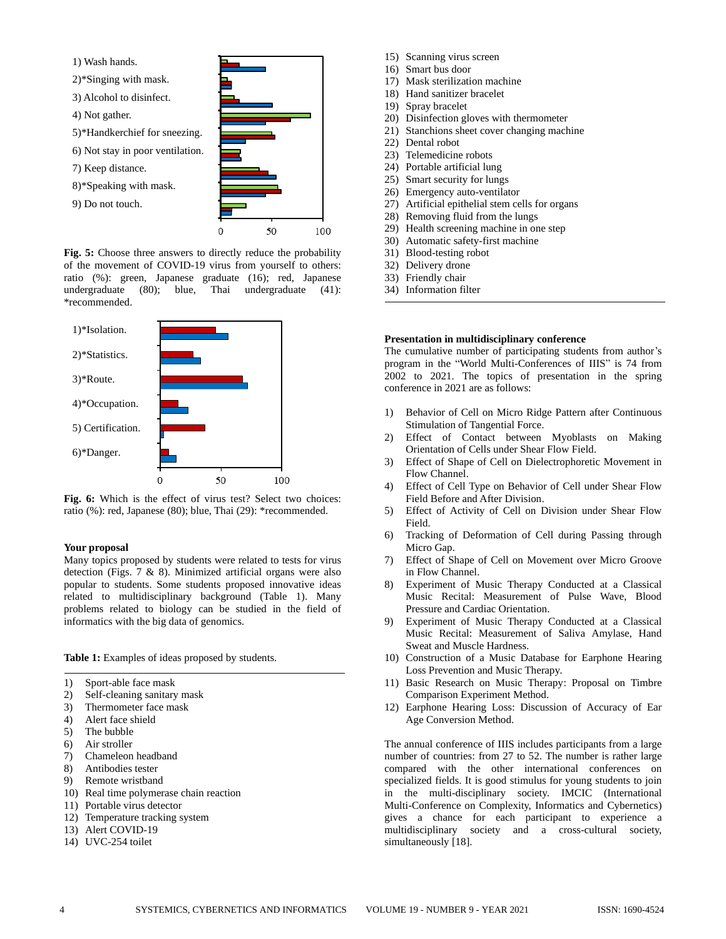

**Fig. 5:** Choose three answers to directly reduce the probability of the movement of COVID-19 virus from yourself to others: ratio (%): green, Japanese graduate (16); red, Japanese undergraduate (80); blue, Thai undergraduate (41): \*recommended.



**Fig. 6:** Which is the effect of virus test? Select two choices: ratio (%): red, Japanese (80); blue, Thai (29): \*recommended.

#### **Your proposal**

Many topics proposed by students were related to tests for virus detection (Figs. 7 & 8). Minimized artificial organs were also popular to students. Some students proposed innovative ideas related to multidisciplinary background (Table 1). Many problems related to biology can be studied in the field of informatics with the big data of genomics.

**Table 1:** Examples of ideas proposed by students.

- 1) Sport-able face mask
- 2) Self-cleaning sanitary mask
- 3) Thermometer face mask
- 4) Alert face shield
- 5) The bubble
- 6) Air stroller
- 7) Chameleon headband
- 8) Antibodies tester
- 9) Remote wristband
- 10) Real time polymerase chain reaction
- 11) Portable virus detector
- 12) Temperature tracking system
- 13) Alert COVID-19
- 14) UVC-254 toilet
- 15) Scanning virus screen
- 16) Smart bus door
- 17) Mask sterilization machine
- 18) Hand sanitizer bracelet
- 19) Spray bracelet
- 20) Disinfection gloves with thermometer
- 21) Stanchions sheet cover changing machine
- 22) Dental robot
- 23) Telemedicine robots
- 24) Portable artificial lung
- 25) Smart security for lungs
- 26) Emergency auto-ventilator
- 27) Artificial epithelial stem cells for organs
- 28) Removing fluid from the lungs
- 29) Health screening machine in one step
- 30) Automatic safety-first machine
- 31) Blood-testing robot
- 32) Delivery drone
- 33) Friendly chair
- 34) Information filter

# **Presentation in multidisciplinary conference**

The cumulative number of participating students from author's program in the "World Multi-Conferences of IIIS" is 74 from 2002 to 2021. The topics of presentation in the spring conference in 2021 are as follows:

- 1) Behavior of Cell on Micro Ridge Pattern after Continuous Stimulation of Tangential Force.
- 2) Effect of Contact between Myoblasts on Making Orientation of Cells under Shear Flow Field.
- 3) Effect of Shape of Cell on Dielectrophoretic Movement in Flow Channel.
- 4) Effect of Cell Type on Behavior of Cell under Shear Flow Field Before and After Division.
- 5) Effect of Activity of Cell on Division under Shear Flow Field.
- 6) Tracking of Deformation of Cell during Passing through Micro Gap.
- 7) Effect of Shape of Cell on Movement over Micro Groove in Flow Channel.
- 8) Experiment of Music Therapy Conducted at a Classical Music Recital: Measurement of Pulse Wave, Blood Pressure and Cardiac Orientation.
- 9) Experiment of Music Therapy Conducted at a Classical Music Recital: Measurement of Saliva Amylase, Hand Sweat and Muscle Hardness.
- 10) Construction of a Music Database for Earphone Hearing Loss Prevention and Music Therapy.
- 11) Basic Research on Music Therapy: Proposal on Timbre Comparison Experiment Method.
- 12) Earphone Hearing Loss: Discussion of Accuracy of Ear Age Conversion Method.

The annual conference of IIIS includes participants from a large number of countries: from 27 to 52. The number is rather large compared with the other international conferences on specialized fields. It is good stimulus for young students to join in the multi-disciplinary society. IMCIC (International Multi-Conference on Complexity, Informatics and Cybernetics) gives a chance for each participant to experience a multidisciplinary society and a cross-cultural society, simultaneously [18].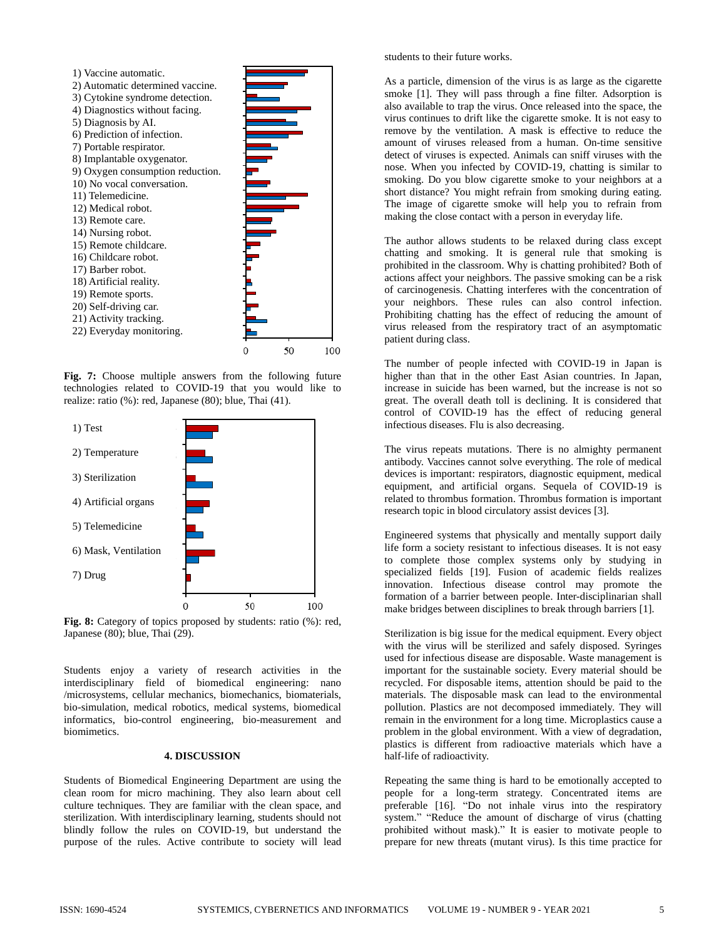

**Fig. 7:** Choose multiple answers from the following future technologies related to COVID-19 that you would like to realize: ratio (%): red, Japanese (80); blue, Thai (41).



**Fig. 8:** Category of topics proposed by students: ratio (%): red, Japanese (80); blue, Thai (29).

Students enjoy a variety of research activities in the interdisciplinary field of biomedical engineering: nano /microsystems, cellular mechanics, biomechanics, biomaterials, bio-simulation, medical robotics, medical systems, biomedical informatics, bio-control engineering, bio-measurement and biomimetics.

#### **4. DISCUSSION**

Students of Biomedical Engineering Department are using the clean room for micro machining. They also learn about cell culture techniques. They are familiar with the clean space, and sterilization. With interdisciplinary learning, students should not blindly follow the rules on COVID-19, but understand the purpose of the rules. Active contribute to society will lead

students to their future works.

As a particle, dimension of the virus is as large as the cigarette smoke [1]. They will pass through a fine filter. Adsorption is also available to trap the virus. Once released into the space, the virus continues to drift like the cigarette smoke. It is not easy to remove by the ventilation. A mask is effective to reduce the amount of viruses released from a human. On-time sensitive detect of viruses is expected. Animals can sniff viruses with the nose. When you infected by COVID-19, chatting is similar to smoking. Do you blow cigarette smoke to your neighbors at a short distance? You might refrain from smoking during eating. The image of cigarette smoke will help you to refrain from making the close contact with a person in everyday life.

The author allows students to be relaxed during class except chatting and smoking. It is general rule that smoking is prohibited in the classroom. Why is chatting prohibited? Both of actions affect your neighbors. The passive smoking can be a risk of carcinogenesis. Chatting interferes with the concentration of your neighbors. These rules can also control infection. Prohibiting chatting has the effect of reducing the amount of virus released from the respiratory tract of an asymptomatic patient during class.

The number of people infected with COVID-19 in Japan is higher than that in the other East Asian countries. In Japan, increase in suicide has been warned, but the increase is not so great. The overall death toll is declining. It is considered that control of COVID-19 has the effect of reducing general infectious diseases. Flu is also decreasing.

The virus repeats mutations. There is no almighty permanent antibody. Vaccines cannot solve everything. The role of medical devices is important: respirators, diagnostic equipment, medical equipment, and artificial organs. Sequela of COVID-19 is related to thrombus formation. Thrombus formation is important research topic in blood circulatory assist devices [3].

Engineered systems that physically and mentally support daily life form a society resistant to infectious diseases. It is not easy to complete those complex systems only by studying in specialized fields [19]. Fusion of academic fields realizes innovation. Infectious disease control may promote the formation of a barrier between people. Inter-disciplinarian shall make bridges between disciplines to break through barriers [1].

Sterilization is big issue for the medical equipment. Every object with the virus will be sterilized and safely disposed. Syringes used for infectious disease are disposable. Waste management is important for the sustainable society. Every material should be recycled. For disposable items, attention should be paid to the materials. The disposable mask can lead to the environmental pollution. Plastics are not decomposed immediately. They will remain in the environment for a long time. Microplastics cause a problem in the global environment. With a view of degradation, plastics is different from radioactive materials which have a half-life of radioactivity.

Repeating the same thing is hard to be emotionally accepted to people for a long-term strategy. Concentrated items are preferable [16]. "Do not inhale virus into the respiratory system." "Reduce the amount of discharge of virus (chatting prohibited without mask)." It is easier to motivate people to prepare for new threats (mutant virus). Is this time practice for